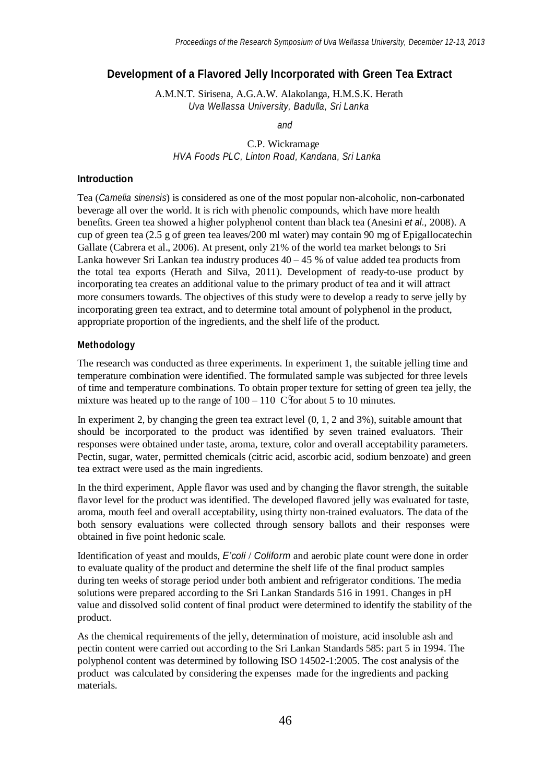# **Development of a Flavored Jelly Incorporated with Green Tea Extract**

A.M.N.T. Sirisena, A.G.A.W. Alakolanga, H.M.S.K. Herath *Uva Wellassa University, Badulla, Sri Lanka*

*and*

C.P. Wickramage *HVA Foods PLC, Linton Road, Kandana, Sri Lanka*

#### **Introduction**

Tea (*Camelia sinensis*) is considered as one of the most popular non-alcoholic, non-carbonated beverage all over the world. It is rich with phenolic compounds, which have more health benefits. Green tea showed a higher polyphenol content than black tea (Anesini *et al.*, 2008). A cup of green tea (2.5 g of green tea leaves/200 ml water) may contain 90 mg of Epigallocatechin Gallate (Cabrera et al., 2006). At present, only 21% of the world tea market belongs to Sri Lanka however Sri Lankan tea industry produces  $40 - 45$  % of value added tea products from the total tea exports (Herath and Silva, 2011). Development of ready-to-use product by incorporating tea creates an additional value to the primary product of tea and it will attract more consumers towards. The objectives of this study were to develop a ready to serve jelly by incorporating green tea extract, and to determine total amount of polyphenol in the product, appropriate proportion of the ingredients, and the shelf life of the product.

#### **Methodology**

mixture was heated up to the range of  $100 - 110$  C for about 5 to 10 minutes. The research was conducted as three experiments. In experiment 1, the suitable jelling time and temperature combination were identified. The formulated sample was subjected for three levels of time and temperature combinations. To obtain proper texture for setting of green tea jelly, the

In experiment 2, by changing the green tea extract level (0, 1, 2 and 3%), suitable amount that should be incorporated to the product was identified by seven trained evaluators. Their responses were obtained under taste, aroma, texture, color and overall acceptability parameters. Pectin, sugar, water, permitted chemicals (citric acid, ascorbic acid, sodium benzoate) and green tea extract were used as the main ingredients.

In the third experiment, Apple flavor was used and by changing the flavor strength, the suitable flavor level for the product was identified. The developed flavored jelly was evaluated for taste, aroma, mouth feel and overall acceptability, using thirty non-trained evaluators. The data of the both sensory evaluations were collected through sensory ballots and their responses were obtained in five point hedonic scale.

Identification of yeast and moulds, *E'coli* / *Coliform* and aerobic plate count were done in order to evaluate quality of the product and determine the shelf life of the final product samples during ten weeks of storage period under both ambient and refrigerator conditions. The media solutions were prepared according to the Sri Lankan Standards 516 in 1991. Changes in pH value and dissolved solid content of final product were determined to identify the stability of the product.

As the chemical requirements of the jelly, determination of moisture, acid insoluble ash and pectin content were carried out according to the Sri Lankan Standards 585: part 5 in 1994. The polyphenol content was determined by following ISO 14502-1:2005. The cost analysis of the product was calculated by considering the expenses made for the ingredients and packing materials.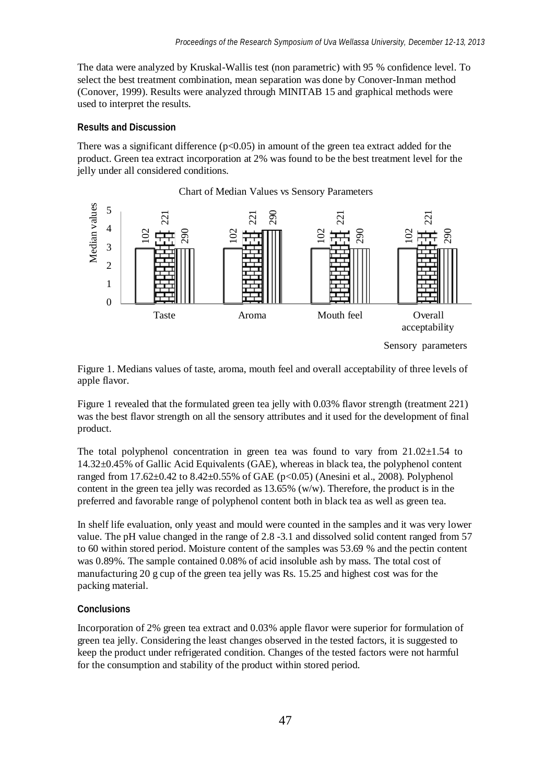The data were analyzed by Kruskal-Wallis test (non parametric) with 95 % confidence level. To select the best treatment combination, mean separation was done by Conover-Inman method (Conover, 1999). Results were analyzed through MINITAB 15 and graphical methods were used to interpret the results.

## **Results and Discussion**

There was a significant difference ( $p<0.05$ ) in amount of the green tea extract added for the product. Green tea extract incorporation at 2% was found to be the best treatment level for the jelly under all considered conditions.



Sensory parameters

Figure 1. Medians values of taste, aroma, mouth feel and overall acceptability of three levels of apple flavor.

Figure 1 revealed that the formulated green tea jelly with 0.03% flavor strength (treatment 221) was the best flavor strength on all the sensory attributes and it used for the development of final product.

The total polyphenol concentration in green tea was found to vary from  $21.02 \pm 1.54$  to 14.32±0.45% of Gallic Acid Equivalents (GAE), whereas in black tea, the polyphenol content ranged from 17.62±0.42 to 8.42±0.55% of GAE (p<0.05) (Anesini et al., 2008). Polyphenol content in the green tea jelly was recorded as 13.65% (w/w). Therefore, the product is in the preferred and favorable range of polyphenol content both in black tea as well as green tea.

In shelf life evaluation, only yeast and mould were counted in the samples and it was very lower value. The pH value changed in the range of 2.8 -3.1 and dissolved solid content ranged from 57 to 60 within stored period. Moisture content of the samples was 53.69 % and the pectin content was 0.89%. The sample contained 0.08% of acid insoluble ash by mass. The total cost of manufacturing 20 g cup of the green tea jelly was Rs. 15.25 and highest cost was for the packing material.

## **Conclusions**

Incorporation of 2% green tea extract and 0.03% apple flavor were superior for formulation of green tea jelly. Considering the least changes observed in the tested factors, it is suggested to keep the product under refrigerated condition. Changes of the tested factors were not harmful for the consumption and stability of the product within stored period.